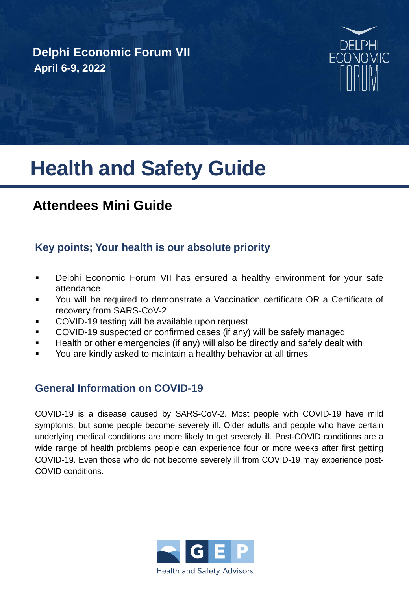## **Delphi Economic Forum VII April 6-9, 2022**



# **Health and Safety Guide**

# **Attendees Mini Guide**

#### **Key points; Your health is our absolute priority**

- Delphi Economic Forum VII has ensured a healthy environment for your safe attendance
- You will be required to demonstrate a Vaccination certificate OR a Certificate of recovery from SARS-CoV-2
- COVID-19 testing will be available upon request
- COVID-19 suspected or confirmed cases (if any) will be safely managed
- Health or other emergencies (if any) will also be directly and safely dealt with
- You are kindly asked to maintain a healthy behavior at all times

#### **General Information on COVID-19**

COVID-19 is a disease caused by SARS-CoV-2. Most people with COVID-19 have mild symptoms, but some people become severely ill. Older adults and people who have certain underlying medical conditions are more likely to get severely ill. Post-COVID conditions are a wide range of health problems people can experience four or more weeks after first getting COVID-19. Even those who do not become severely ill from COVID-19 may experience post-COVID conditions.

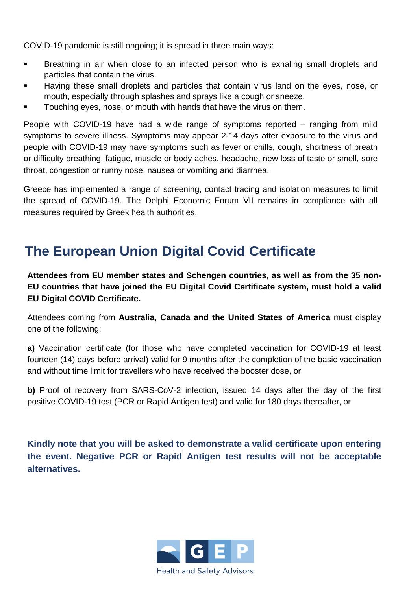COVID-19 pandemic is still ongoing; it is spread in three main ways:

- Breathing in air when close to an infected person who is exhaling small droplets and particles that contain the virus.
- Having these small droplets and particles that contain virus land on the eyes, nose, or mouth, especially through splashes and sprays like a cough or sneeze.
- Touching eyes, nose, or mouth with hands that have the virus on them.

People with COVID-19 have had a wide range of symptoms reported – ranging from mild symptoms to severe illness. Symptoms may appear 2-14 days after exposure to the virus and people with COVID-19 may have symptoms such as fever or chills, cough, shortness of breath or difficulty breathing, fatigue, muscle or body aches, headache, new loss of taste or smell, sore throat, congestion or runny nose, nausea or vomiting and diarrhea.

Greece has implemented a range of screening, contact tracing and isolation measures to limit the spread of COVID-19. The Delphi Economic Forum VII remains in compliance with all measures required by Greek health authorities.

# **The European Union Digital Covid Certificate**

**Attendees from EU member states and Schengen countries, as well as from the 35 non-EU countries that have joined the EU Digital Covid Certificate system, must hold a valid EU Digital COVID Certificate.**

Attendees coming from **Australia, Canada and the United States of America** must display one of the following:

**a)** Vaccination certificate (for those who have completed vaccination for COVID-19 at least fourteen (14) days before arrival) valid for 9 months after the completion of the basic vaccination and without time limit for travellers who have received the booster dose, or

**b)** Proof of recovery from SARS-CoV-2 infection, issued 14 days after the day of the first positive COVID-19 test (PCR or Rapid Antigen test) and valid for 180 days thereafter, or

**Kindly note that you will be asked to demonstrate a valid certificate upon entering the event. Negative PCR or Rapid Antigen test results will not be acceptable alternatives.**

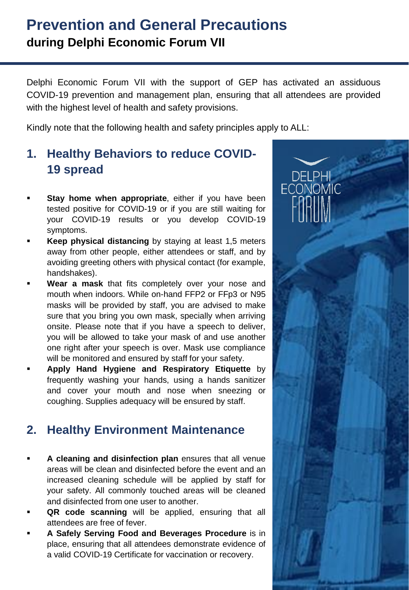# **Prevention and General Precautions during Delphi Economic Forum VII**

Delphi Economic Forum VII with the support of GEP has activated an assiduous COVID-19 prevention and management plan, ensuring that all attendees are provided with the highest level of health and safety provisions.

Kindly note that the following health and safety principles apply to ALL:

## **1. Healthy Behaviors to reduce COVID-19 spread**

- **Stay home when appropriate**, either if you have been tested positive for COVID-19 or if you are still waiting for your COVID-19 results or you develop COVID-19 symptoms.
- **Keep physical distancing** by staying at least 1,5 meters away from other people, either attendees or staff, and by avoiding greeting others with physical contact (for example, handshakes).
- **Wear a mask** that fits completely over your nose and mouth when indoors. While on-hand FFP2 or FFp3 or N95 masks will be provided by staff, you are advised to make sure that you bring you own mask, specially when arriving onsite. Please note that if you have a speech to deliver, you will be allowed to take your mask of and use another one right after your speech is over. Mask use compliance will be monitored and ensured by staff for your safety.
- **Apply Hand Hygiene and Respiratory Etiquette** by frequently washing your hands, using a hands sanitizer and cover your mouth and nose when sneezing or coughing. Supplies adequacy will be ensured by staff.

## **2. Healthy Environment Maintenance**

- **A cleaning and disinfection plan** ensures that all venue areas will be clean and disinfected before the event and an increased cleaning schedule will be applied by staff for your safety. All commonly touched areas will be cleaned and disinfected from one user to another.
- **QR code scanning** will be applied, ensuring that all attendees are free of fever.
- **A Safely Serving Food and Beverages Procedure** is in place, ensuring that all attendees demonstrate evidence of a valid COVID-19 Certificate for vaccination or recovery.